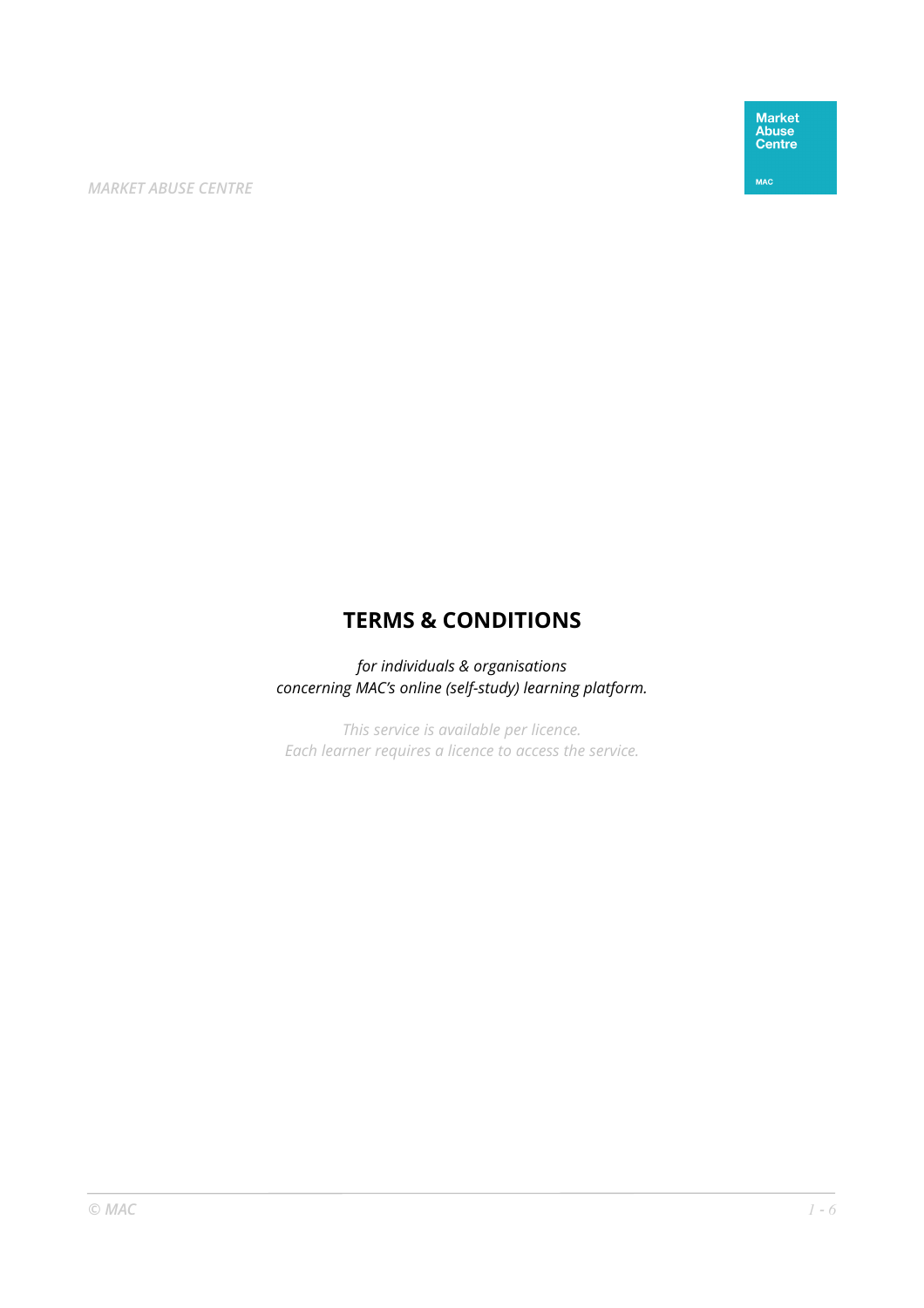Market<br>Abuse<br>Centre

MAC

*MARKET ABUSE CENTRE* 

# **TERMS & CONDITIONS**

*for individuals & organisations concerning MAC's online (self-study) learning platform.* 

*This service is available per licence. Each learner requires a licence to access the service.*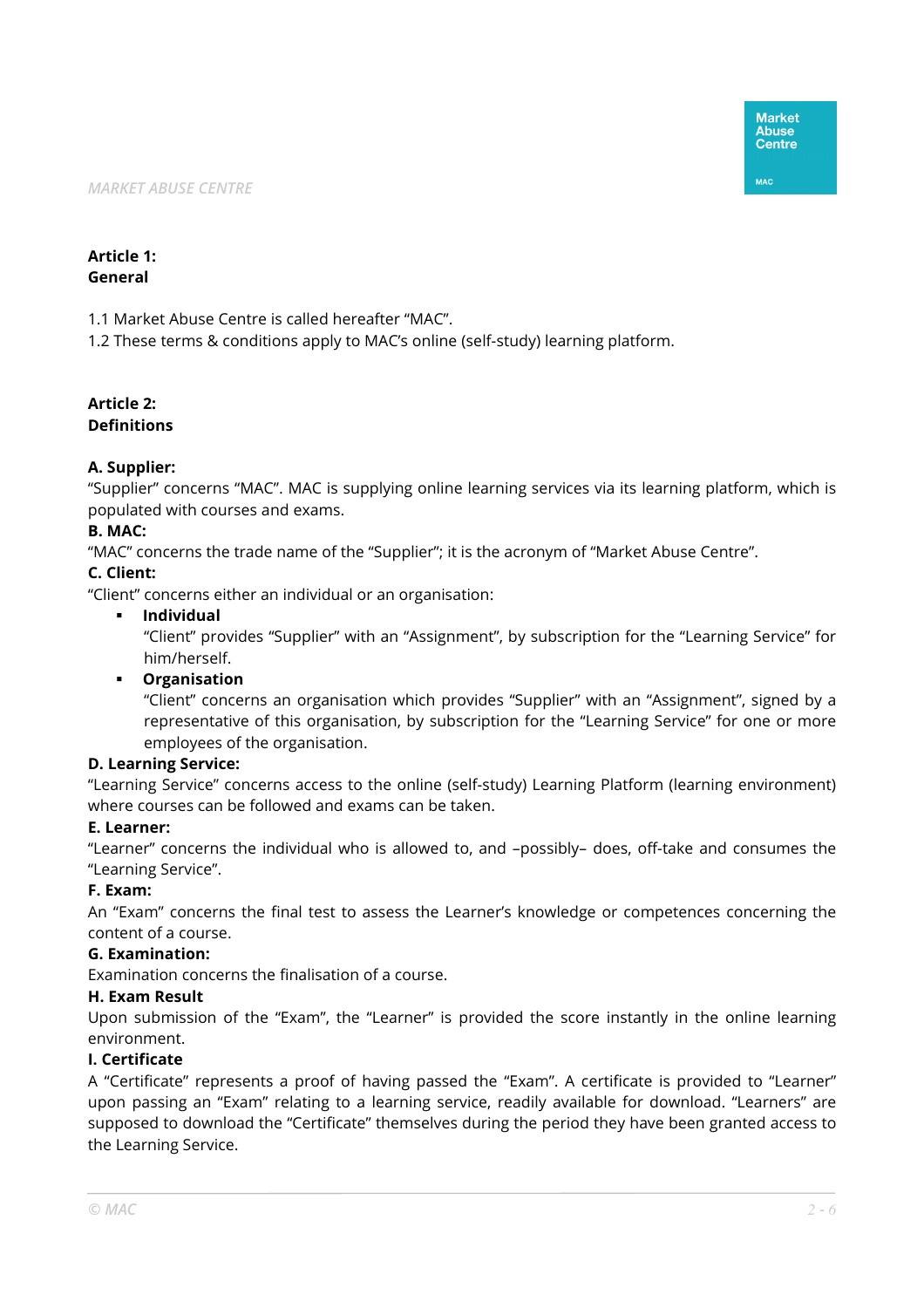## **Article 1: General**

1.1 Market Abuse Centre is called hereafter "MAC".

1.2 These terms & conditions apply to MAC's online (self-study) learning platform.

## **Article 2: Definitions**

## **A. Supplier:**

"Supplier" concerns "MAC". MAC is supplying online learning services via its learning platform, which is populated with courses and exams.

## **B. MAC:**

"MAC" concerns the trade name of the "Supplier"; it is the acronym of "Market Abuse Centre".

## **C. Client:**

"Client" concerns either an individual or an organisation:

#### **Individual**

"Client" provides "Supplier" with an "Assignment", by subscription for the "Learning Service" for him/herself.

#### **Organisation**

"Client" concerns an organisation which provides "Supplier" with an "Assignment", signed by a representative of this organisation, by subscription for the "Learning Service" for one or more employees of the organisation.

#### **D. Learning Service:**

"Learning Service" concerns access to the online (self-study) Learning Platform (learning environment) where courses can be followed and exams can be taken.

#### **E. Learner:**

"Learner" concerns the individual who is allowed to, and –possibly– does, off-take and consumes the "Learning Service".

#### **F. Exam:**

An "Exam" concerns the final test to assess the Learner's knowledge or competences concerning the content of a course.

#### **G. Examination:**

Examination concerns the finalisation of a course.

#### **H. Exam Result**

Upon submission of the "Exam", the "Learner" is provided the score instantly in the online learning environment.

#### **I. Certificate**

A "Certificate" represents a proof of having passed the "Exam". A certificate is provided to "Learner" upon passing an "Exam" relating to a learning service, readily available for download. "Learners" are supposed to download the "Certificate" themselves during the period they have been granted access to the Learning Service.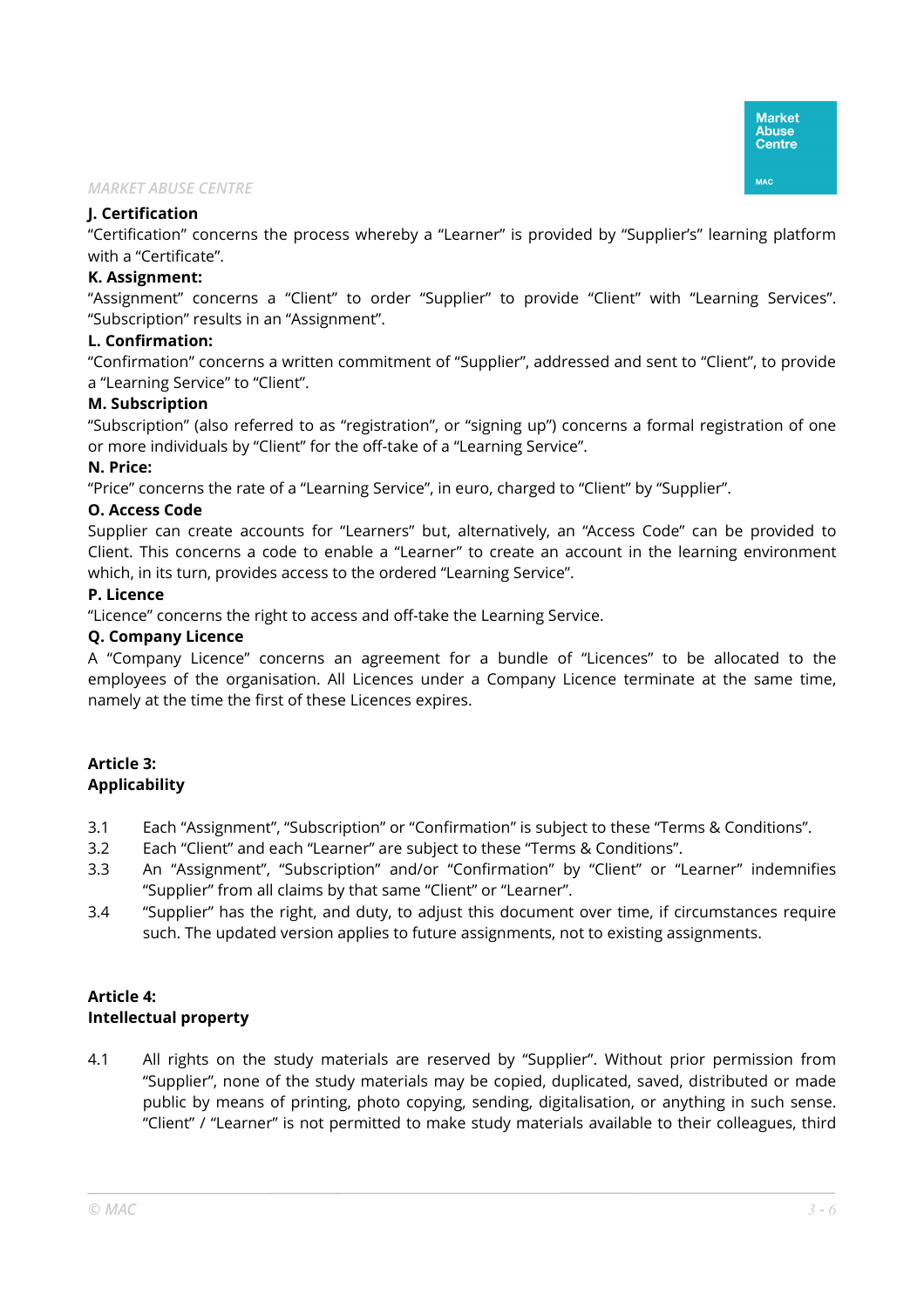## **J. Certification**

"Certification" concerns the process whereby a "Learner" is provided by "Supplier's" learning platform with a "Certificate".

#### **K. Assignment:**

"Assignment" concerns a "Client" to order "Supplier" to provide "Client" with "Learning Services". "Subscription" results in an "Assignment".

## **L. Confirmation:**

"Confirmation" concerns a written commitment of "Supplier", addressed and sent to "Client", to provide a "Learning Service" to "Client".

## **M. Subscription**

"Subscription" (also referred to as "registration", or "signing up") concerns a formal registration of one or more individuals by "Client" for the off-take of a "Learning Service".

## **N. Price:**

"Price" concerns the rate of a "Learning Service", in euro, charged to "Client" by "Supplier".

## **O. Access Code**

Supplier can create accounts for "Learners" but, alternatively, an "Access Code" can be provided to Client. This concerns a code to enable a "Learner" to create an account in the learning environment which, in its turn, provides access to the ordered "Learning Service".

## **P. Licence**

"Licence" concerns the right to access and off-take the Learning Service.

## **Q. Company Licence**

A "Company Licence" concerns an agreement for a bundle of "Licences" to be allocated to the employees of the organisation. All Licences under a Company Licence terminate at the same time, namely at the time the first of these Licences expires.

## **Article 3: Applicability**

- 3.1 Each "Assignment", "Subscription" or "Confirmation" is subject to these "Terms & Conditions".
- 3.2 Each "Client" and each "Learner" are subject to these "Terms & Conditions".
- 3.3 An "Assignment", "Subscription" and/or "Confirmation" by "Client" or "Learner" indemnifies "Supplier" from all claims by that same "Client" or "Learner".
- 3.4 "Supplier" has the right, and duty, to adjust this document over time, if circumstances require such. The updated version applies to future assignments, not to existing assignments.

# **Article 4: Intellectual property**

4.1 All rights on the study materials are reserved by "Supplier". Without prior permission from "Supplier", none of the study materials may be copied, duplicated, saved, distributed or made public by means of printing, photo copying, sending, digitalisation, or anything in such sense. "Client" / "Learner" is not permitted to make study materials available to their colleagues, third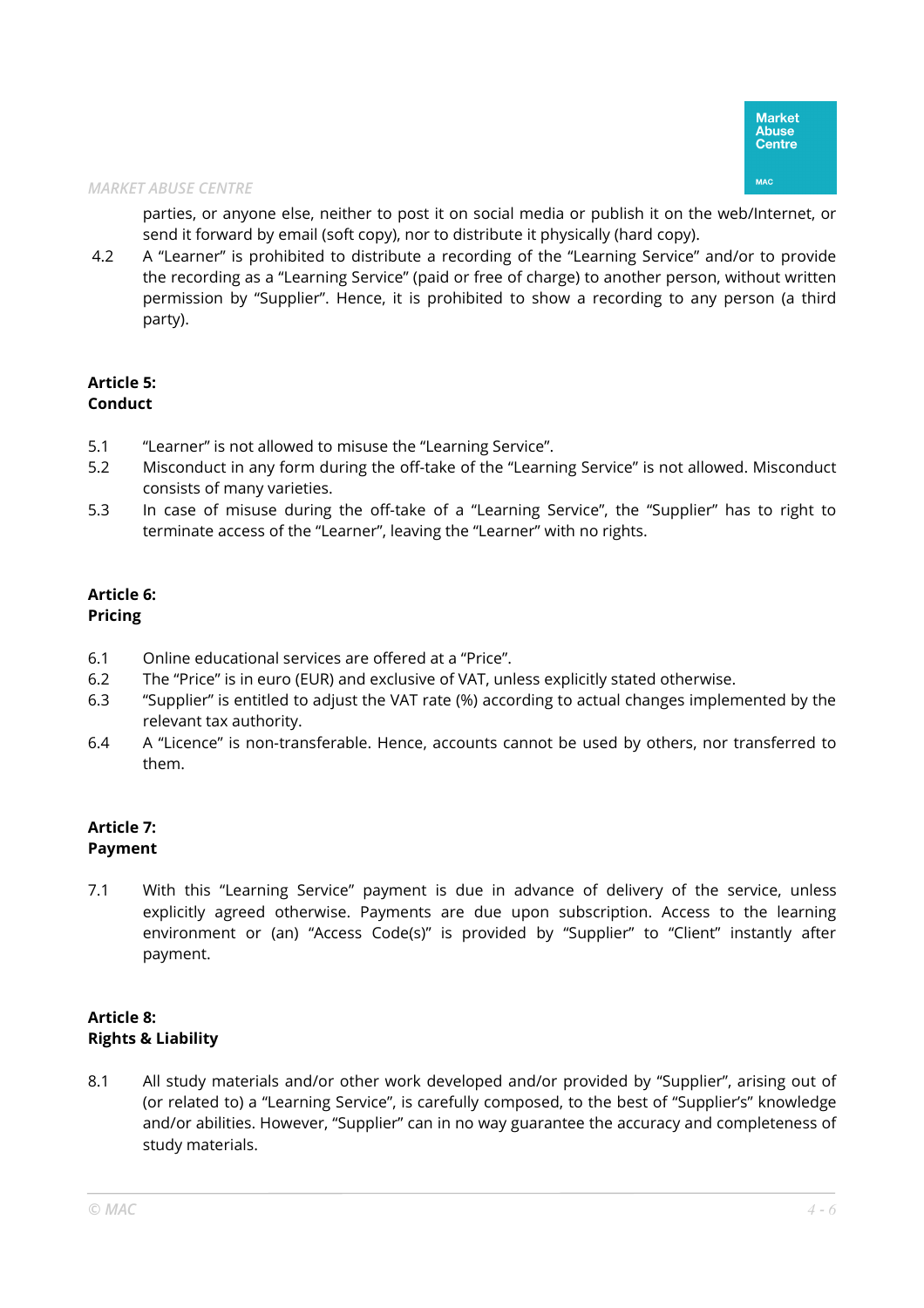parties, or anyone else, neither to post it on social media or publish it on the web/Internet, or send it forward by email (soft copy), nor to distribute it physically (hard copy).

 4.2 A "Learner" is prohibited to distribute a recording of the "Learning Service" and/or to provide the recording as a "Learning Service" (paid or free of charge) to another person, without written permission by "Supplier". Hence, it is prohibited to show a recording to any person (a third party).

## **Article 5: Conduct**

- 5.1 "Learner" is not allowed to misuse the "Learning Service".
- 5.2 Misconduct in any form during the off-take of the "Learning Service" is not allowed. Misconduct consists of many varieties.
- 5.3 In case of misuse during the off-take of a "Learning Service", the "Supplier" has to right to terminate access of the "Learner", leaving the "Learner" with no rights.

#### **Article 6: Pricing**

- 6.1 Online educational services are offered at a "Price".
- 6.2 The "Price" is in euro (EUR) and exclusive of VAT, unless explicitly stated otherwise.
- 6.3 "Supplier" is entitled to adjust the VAT rate (%) according to actual changes implemented by the relevant tax authority.
- 6.4 A "Licence" is non-transferable. Hence, accounts cannot be used by others, nor transferred to them.

#### **Article 7: Payment**

7.1 With this "Learning Service" payment is due in advance of delivery of the service, unless explicitly agreed otherwise. Payments are due upon subscription. Access to the learning environment or (an) "Access Code(s)" is provided by "Supplier" to "Client" instantly after payment.

# **Article 8: Rights & Liability**

8.1 All study materials and/or other work developed and/or provided by "Supplier", arising out of (or related to) a "Learning Service", is carefully composed, to the best of "Supplier's" knowledge and/or abilities. However, "Supplier" can in no way guarantee the accuracy and completeness of study materials.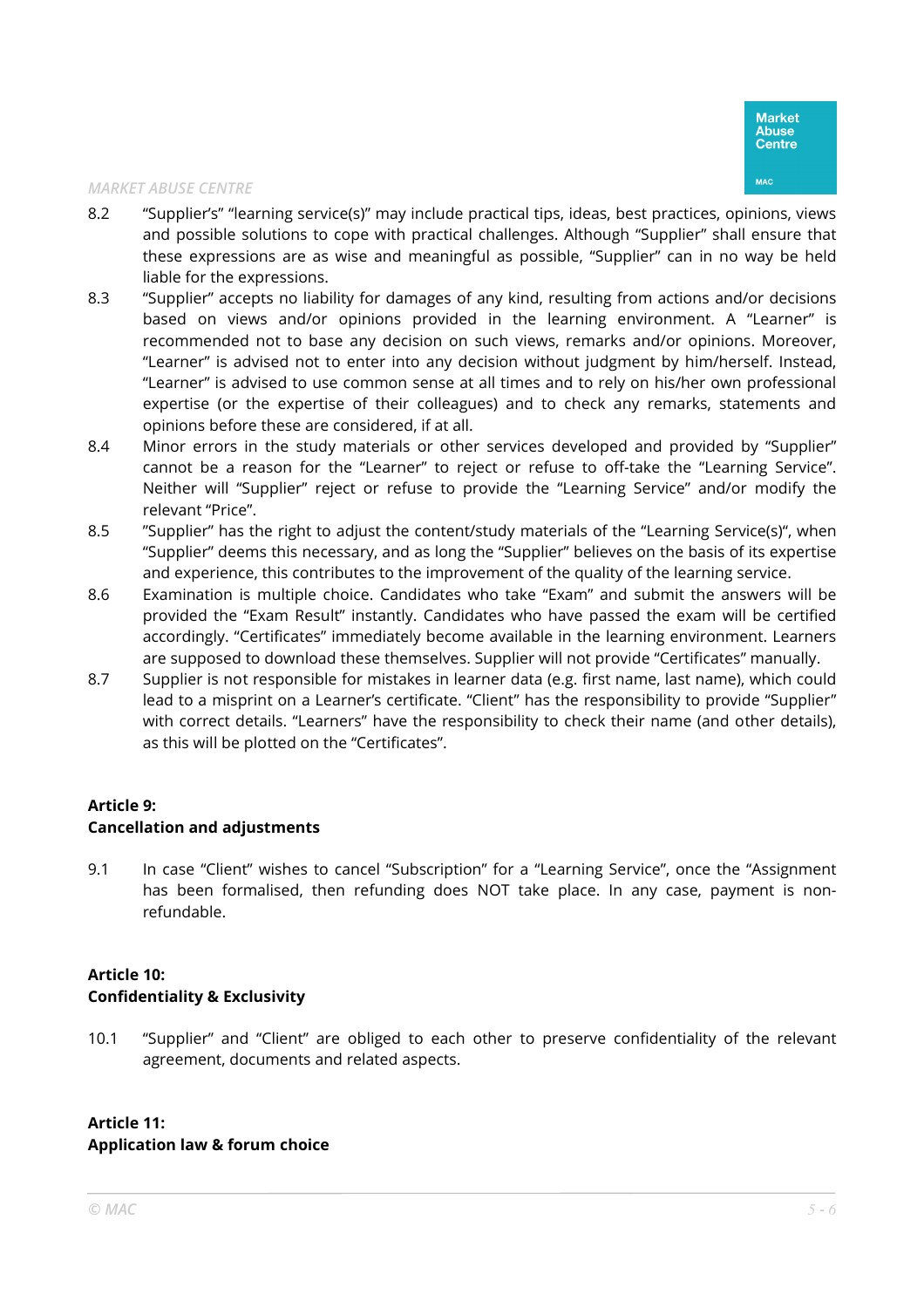- 8.2 "Supplier's" "learning service(s)" may include practical tips, ideas, best practices, opinions, views and possible solutions to cope with practical challenges. Although "Supplier" shall ensure that these expressions are as wise and meaningful as possible, "Supplier" can in no way be held liable for the expressions.
- 8.3 "Supplier" accepts no liability for damages of any kind, resulting from actions and/or decisions based on views and/or opinions provided in the learning environment. A "Learner" is recommended not to base any decision on such views, remarks and/or opinions. Moreover, "Learner" is advised not to enter into any decision without judgment by him/herself. Instead, "Learner" is advised to use common sense at all times and to rely on his/her own professional expertise (or the expertise of their colleagues) and to check any remarks, statements and opinions before these are considered, if at all.
- 8.4 Minor errors in the study materials or other services developed and provided by "Supplier" cannot be a reason for the "Learner" to reject or refuse to off-take the "Learning Service". Neither will "Supplier" reject or refuse to provide the "Learning Service" and/or modify the relevant "Price".
- 8.5 "Supplier" has the right to adjust the content/study materials of the "Learning Service(s)", when "Supplier" deems this necessary, and as long the "Supplier" believes on the basis of its expertise and experience, this contributes to the improvement of the quality of the learning service.
- 8.6 Examination is multiple choice. Candidates who take "Exam" and submit the answers will be provided the "Exam Result" instantly. Candidates who have passed the exam will be certified accordingly. "Certificates" immediately become available in the learning environment. Learners are supposed to download these themselves. Supplier will not provide "Certificates" manually.
- 8.7 Supplier is not responsible for mistakes in learner data (e.g. first name, last name), which could lead to a misprint on a Learner's certificate. "Client" has the responsibility to provide "Supplier" with correct details. "Learners" have the responsibility to check their name (and other details), as this will be plotted on the "Certificates".

## **Article 9: Cancellation and adjustments**

9.1 In case "Client" wishes to cancel "Subscription" for a "Learning Service", once the "Assignment has been formalised, then refunding does NOT take place. In any case, payment is nonrefundable.

## **Article 10: Confidentiality & Exclusivity**

10.1 "Supplier" and "Client" are obliged to each other to preserve confidentiality of the relevant agreement, documents and related aspects.

# **Article 11: Application law & forum choice**